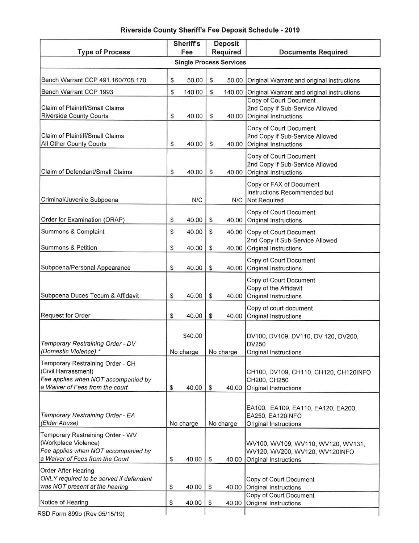## **Riverside County Sheriffs Fee Deposit Schedule** - **2019**

| <b>Type of Process</b>                                                                                                             |    | <b>Sheriff's</b>     |              | Deposit<br>Required | <b>Documents Required</b>                                                                     |  |  |  |  |  |
|------------------------------------------------------------------------------------------------------------------------------------|----|----------------------|--------------|---------------------|-----------------------------------------------------------------------------------------------|--|--|--|--|--|
|                                                                                                                                    |    | Fee                  |              |                     |                                                                                               |  |  |  |  |  |
| <b>Single Process Services</b>                                                                                                     |    |                      |              |                     |                                                                                               |  |  |  |  |  |
| Bench Warrant CCP 491.160/708.170                                                                                                  | \$ | 50.00                | \$           | 50.00               | Original Warrant and original instructions                                                    |  |  |  |  |  |
| Bench Warrant CCP 1993                                                                                                             | \$ | 140.00               | $\mathbb{S}$ | 140.00              | Original Warrant and original instructions                                                    |  |  |  |  |  |
| Claim of Plaintiff/Small Claims<br><b>Riverside County Courts</b>                                                                  | \$ | 40.00                | $\mathbb{S}$ | 40.00               | Copy of Court Document<br>2nd Copy if Sub-Service Allowed<br>Original Instructions            |  |  |  |  |  |
| Claim of Plaintiff/Small Claims<br>All Other County Courts                                                                         | \$ | 40.00                | \$           |                     | Copy of Court Document<br>2nd Copy if Sub-Service Allowed<br>40.00 Original Instructions      |  |  |  |  |  |
| Claim of Defendant/Small Claims                                                                                                    | \$ | 40.00                | \$           | 40.00               | Copy of Court Document<br>2nd Copy if Sub-Service Allowed<br>Original Instructions            |  |  |  |  |  |
| Criminal/Juvenile Subpoena                                                                                                         |    | N/C                  |              |                     | Copy or FAX of Document<br>Instructions Recommended but<br>N/C Not Required                   |  |  |  |  |  |
| Order for Examination (ORAP)                                                                                                       | \$ | 40.00                | \$           | 40.00               | Copy of Court Document<br>Original Instructions                                               |  |  |  |  |  |
| Summons & Complaint                                                                                                                | \$ | 40.00                | \$           | 40.00               | Copy of Court Document<br>2nd Copy if Sub-Service Allowed                                     |  |  |  |  |  |
| <b>Summons &amp; Petition</b>                                                                                                      | \$ | 40.00                | \$           | 40.00               | Original Instructions                                                                         |  |  |  |  |  |
| Subpoena/Personal Appearance                                                                                                       | \$ | 40.00                | \$           | 40.00               | Copy of Court Document<br>Original Instructions                                               |  |  |  |  |  |
| Subpoena Duces Tecum & Affidavit                                                                                                   | \$ | 40.00                | \$           | 40.00               | Copy of Court Document<br>Copy of the Affidavit<br>Original Instructions                      |  |  |  |  |  |
| <b>Request for Order</b>                                                                                                           | \$ | 40.00                | \$           | 40.00               | Copy of court document<br>Original Instructions                                               |  |  |  |  |  |
| Temporary Restraining Order - DV<br>(Domestic Violence) *                                                                          |    | \$40.00<br>No charge |              | No charge           | DV100, DV109, DV110, DV 120, DV200,<br>DV250<br>Original Instructions                         |  |  |  |  |  |
| Temporary Restraining Order - CH<br>(Civil Harrassment)<br>Fee applies when NOT accompanied by<br>a Waiver of Fees from the court  | \$ | 40.00                | \$           | 40.00               | CH100, DV109, CH110, CH120, CH120INFO<br>CH200, CH250<br>Original Instructions                |  |  |  |  |  |
| Temporary Restraining Order - EA<br>(Elder Abuse)                                                                                  |    | No charge            |              | No charge           | EA100, EA109, EA110, EA120, EA200,<br>EA250, EA120INFO<br>Original Instructions               |  |  |  |  |  |
| Temporary Restraining Order - WV<br>(Workplace Violence)<br>Fee applies when NOT accompanied by<br>a Waiver of Fees from the Court | \$ | 40.00                | \$           | 40.00               | WV100, WV109, WV110, WV120, WV131,<br>WV120, WV200, WV120, WV120INFO<br>Original Instructions |  |  |  |  |  |
| Order After Hearing<br>ONLY required to be served if defendant<br>was NOT present at the hearing                                   | \$ | 40.00                | \$           | 40.00               | Copy of Court Document<br>Original Instructions<br>Copy of Court Document                     |  |  |  |  |  |
| Notice of Hearing                                                                                                                  | \$ | 40.00                | \$           | 40.00               | Original Instructions                                                                         |  |  |  |  |  |
| RSD Form 899b (Rev 05/15/19)                                                                                                       |    |                      |              |                     |                                                                                               |  |  |  |  |  |